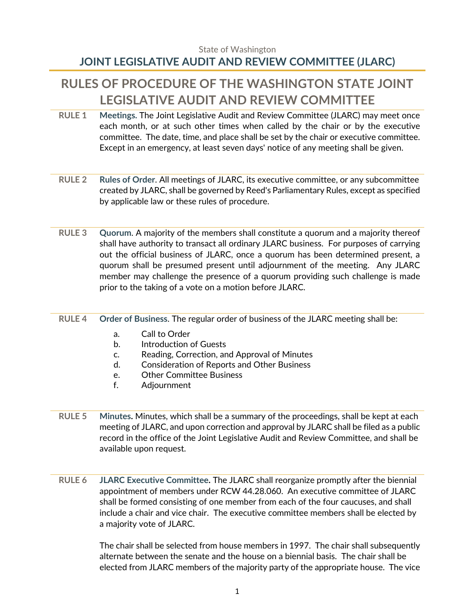## **RULES OF PROCEDURE OF THE WASHINGTON STATE JOINT LEGISLATIVE AUDIT AND REVIEW COMMITTEE**

- **RULE 1 Meetings.** The Joint Legislative Audit and Review Committee (JLARC) may meet once each month, or at such other times when called by the chair or by the executive committee. The date, time, and place shall be set by the chair or executive committee. Except in an emergency, at least seven days' notice of any meeting shall be given.
- **RULE 2 Rules of Order**. All meetings of JLARC, its executive committee, or any subcommittee created by JLARC, shall be governed by Reed's Parliamentary Rules, except as specified by applicable law or these rules of procedure.
- **RULE 3 Quorum**. A majority of the members shall constitute a quorum and a majority thereof shall have authority to transact all ordinary JLARC business. For purposes of carrying out the official business of JLARC, once a quorum has been determined present, a quorum shall be presumed present until adjournment of the meeting. Any JLARC member may challenge the presence of a quorum providing such challenge is made prior to the taking of a vote on a motion before JLARC.

## **RULE 4 Order of Business**. The regular order of business of the JLARC meeting shall be:

- a. Call to Order
- b. Introduction of Guests
- c. Reading, Correction, and Approval of Minutes
- d. Consideration of Reports and Other Business
- e. Other Committee Business
- f. Adjournment
- **RULE 5 Minutes.** Minutes, which shall be a summary of the proceedings, shall be kept at each meeting of JLARC, and upon correction and approval by JLARC shall be filed as a public record in the office of the Joint Legislative Audit and Review Committee, and shall be available upon request.
- **RULE 6 JLARC Executive Committee.** The JLARC shall reorganize promptly after the biennial appointment of members under RCW 44.28.060. An executive committee of JLARC shall be formed consisting of one member from each of the four caucuses, and shall include a chair and vice chair. The executive committee members shall be elected by a majority vote of JLARC.

The chair shall be selected from house members in 1997. The chair shall subsequently alternate between the senate and the house on a biennial basis. The chair shall be elected from JLARC members of the majority party of the appropriate house. The vice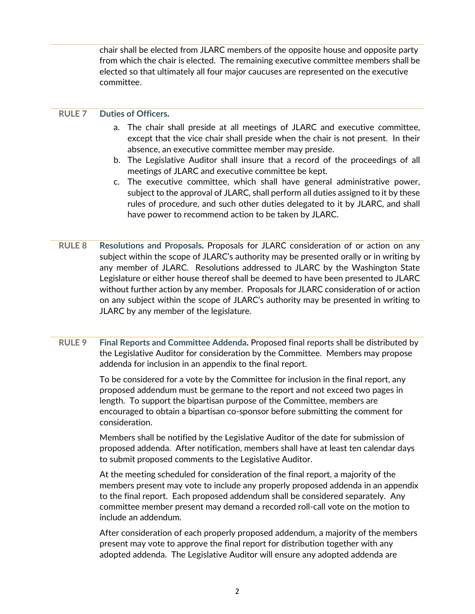chair shall be elected from JLARC members of the opposite house and opposite party from which the chair is elected. The remaining executive committee members shall be elected so that ultimately all four major caucuses are represented on the executive committee.

## **RULE 7 Duties of Officers.**

- a. The chair shall preside at all meetings of JLARC and executive committee, except that the vice chair shall preside when the chair is not present. In their absence, an executive committee member may preside.
- b. The Legislative Auditor shall insure that a record of the proceedings of all meetings of JLARC and executive committee be kept.
- c. The executive committee, which shall have general administrative power, subject to the approval of JLARC, shall perform all duties assigned to it by these rules of procedure, and such other duties delegated to it by JLARC, and shall have power to recommend action to be taken by JLARC.
- **RULE 8 Resolutions and Proposals.** Proposals for JLARC consideration of or action on any subject within the scope of JLARC's authority may be presented orally or in writing by any member of JLARC. Resolutions addressed to JLARC by the Washington State Legislature or either house thereof shall be deemed to have been presented to JLARC without further action by any member. Proposals for JLARC consideration of or action on any subject within the scope of JLARC's authority may be presented in writing to JLARC by any member of the legislature.
- **RULE 9 Final Reports and Committee Addenda.** Proposed final reports shall be distributed by the Legislative Auditor for consideration by the Committee. Members may propose addenda for inclusion in an appendix to the final report.

To be considered for a vote by the Committee for inclusion in the final report, any proposed addendum must be germane to the report and not exceed two pages in length. To support the bipartisan purpose of the Committee, members are encouraged to obtain a bipartisan co-sponsor before submitting the comment for consideration.

Members shall be notified by the Legislative Auditor of the date for submission of proposed addenda. After notification, members shall have at least ten calendar days to submit proposed comments to the Legislative Auditor.

At the meeting scheduled for consideration of the final report, a majority of the members present may vote to include any properly proposed addenda in an appendix to the final report. Each proposed addendum shall be considered separately. Any committee member present may demand a recorded roll-call vote on the motion to include an addendum.

After consideration of each properly proposed addendum, a majority of the members present may vote to approve the final report for distribution together with any adopted addenda. The Legislative Auditor will ensure any adopted addenda are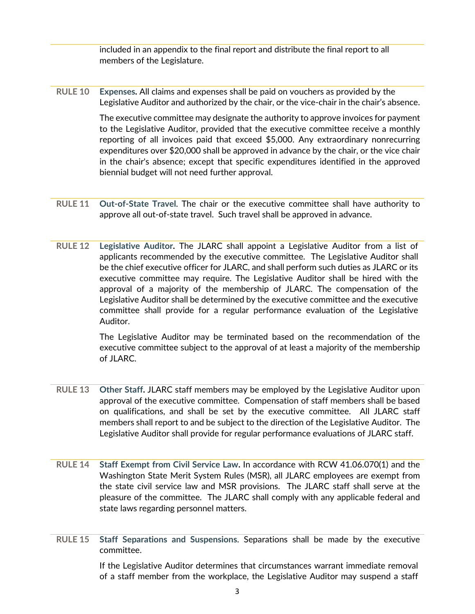included in an appendix to the final report and distribute the final report to all members of the Legislature.

**RULE 10 Expenses.** All claims and expenses shall be paid on vouchers as provided by the Legislative Auditor and authorized by the chair, or the vice-chair in the chair's absence.

> The executive committee may designate the authority to approve invoices for payment to the Legislative Auditor, provided that the executive committee receive a monthly reporting of all invoices paid that exceed \$5,000. Any extraordinary nonrecurring expenditures over \$20,000 shall be approved in advance by the chair, or the vice chair in the chair's absence; except that specific expenditures identified in the approved biennial budget will not need further approval.

- **RULE 11 Out-of-State Travel**. The chair or the executive committee shall have authority to approve all out-of-state travel. Such travel shall be approved in advance.
- **RULE 12 Legislative Auditor.** The JLARC shall appoint a Legislative Auditor from a list of applicants recommended by the executive committee. The Legislative Auditor shall be the chief executive officer for JLARC, and shall perform such duties as JLARC or its executive committee may require. The Legislative Auditor shall be hired with the approval of a majority of the membership of JLARC. The compensation of the Legislative Auditor shall be determined by the executive committee and the executive committee shall provide for a regular performance evaluation of the Legislative Auditor.

The Legislative Auditor may be terminated based on the recommendation of the executive committee subject to the approval of at least a majority of the membership of JLARC.

- **RULE 13 Other Staff.** JLARC staff members may be employed by the Legislative Auditor upon approval of the executive committee. Compensation of staff members shall be based on qualifications, and shall be set by the executive committee. All JLARC staff members shall report to and be subject to the direction of the Legislative Auditor. The Legislative Auditor shall provide for regular performance evaluations of JLARC staff.
- **RULE 14 Staff Exempt from Civil Service Law.** In accordance with RCW 41.06.070(1) and the Washington State Merit System Rules (MSR), all JLARC employees are exempt from the state civil service law and MSR provisions. The JLARC staff shall serve at the pleasure of the committee. The JLARC shall comply with any applicable federal and state laws regarding personnel matters.
- **RULE 15 Staff Separations and Suspensions**. Separations shall be made by the executive committee.

If the Legislative Auditor determines that circumstances warrant immediate removal of a staff member from the workplace, the Legislative Auditor may suspend a staff